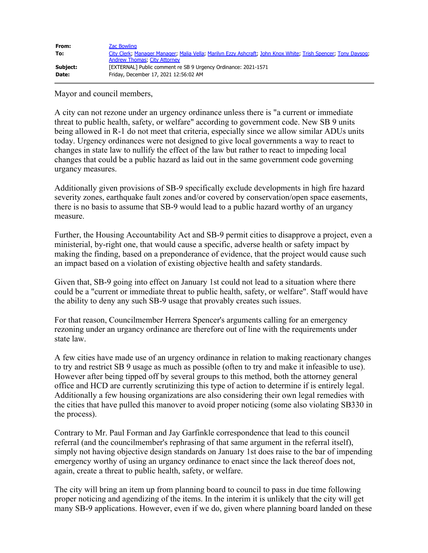| From:    | <b>Zac Bowling</b>                                                                                            |
|----------|---------------------------------------------------------------------------------------------------------------|
| To:      | City Clerk; Manager Manager; Malia Vella; Marilyn Ezzy Ashcraft; John Knox White; Trish Spencer; Tony Daysog; |
|          | Andrew Thomas, City Attorney                                                                                  |
| Subject: | [EXTERNAL] Public comment re SB 9 Urgency Ordinance: 2021-1571                                                |
| Date:    | Friday, December 17, 2021 12:56:02 AM                                                                         |

Mayor and council members,

A city can not rezone under an urgency ordinance unless there is "a current or immediate threat to public health, safety, or welfare" according to government code. New SB 9 units being allowed in R-1 do not meet that criteria, especially since we allow similar ADUs units today. Urgency ordinances were not designed to give local governments a way to react to changes in state law to nullify the effect of the law but rather to react to impeding local changes that could be a public hazard as laid out in the same government code governing urgancy measures.

Additionally given provisions of SB-9 specifically exclude developments in high fire hazard severity zones, earthquake fault zones and/or covered by conservation/open space easements, there is no basis to assume that SB-9 would lead to a public hazard worthy of an urgancy measure.

Further, the Housing Accountability Act and SB-9 permit cities to disapprove a project, even a ministerial, by-right one, that would cause a specific, adverse health or safety impact by making the finding, based on a preponderance of evidence, that the project would cause such an impact based on a violation of existing objective health and safety standards.

Given that, SB-9 going into effect on January 1st could not lead to a situation where there could be a "current or immediate threat to public health, safety, or welfare". Staff would have the ability to deny any such SB-9 usage that provably creates such issues.

For that reason, Councilmember Herrera Spencer's arguments calling for an emergency rezoning under an urgancy ordinance are therefore out of line with the requirements under state law.

A few cities have made use of an urgency ordinance in relation to making reactionary changes to try and restrict SB 9 usage as much as possible (often to try and make it infeasible to use). However after being tipped off by several groups to this method, both the attorney general office and HCD are currently scrutinizing this type of action to determine if is entirely legal. Additionally a few housing organizations are also considering their own legal remedies with the cities that have pulled this manover to avoid proper noticing (some also violating SB330 in the process).

Contrary to Mr. Paul Forman and Jay Garfinkle correspondence that lead to this council referral (and the councilmember's rephrasing of that same argument in the referral itself), simply not having objective design standards on January 1st does raise to the bar of impending emergency worthy of using an urgancy ordinance to enact since the lack thereof does not, again, create a threat to public health, safety, or welfare.

The city will bring an item up from planning board to council to pass in due time following proper noticing and agendizing of the items. In the interim it is unlikely that the city will get many SB-9 applications. However, even if we do, given where planning board landed on these